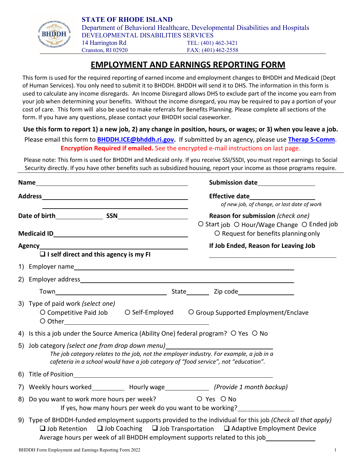

## **EMPLOYMENT AND EARNINGS REPORTING FORM**

This form is used for the required reporting of earned income and employment changes to BHDDH and Medicaid (Dept of Human Services). You only need to submit it to BHDDH. BHDDH will send it to DHS. The information in this form is used to calculate any income disregards. An Income Disregard allows DHS to exclude part of the income you earn from your job when determining your benefits. Without the income disregard, you may be required to pay a portion of your cost of care. This form will also be used to make referrals for Benefits Planning. Please complete all sections of the form. If you have any questions, please contact your BHDDH social caseworker.

**Use this form to report 1) a new job, 2) any change in position, hours, or wages; or 3) when you leave a job.**

Please email this form to **[BHDDH.ICE@bhddh.ri.gov.](mailto:BHDDH.ICE@bhddh.ri.gov)** If submitted by an agency, please use **Therap S-Comm**. **Encryption Required if emailed.** See the encrypted e-mail instructions on last page.

Please note: This form is used for BHDDH and Medicaid only. If you receive SSI/SSDI, you must report earnings to Social Security directly. If you have other benefits such as subsidized housing, report your income as those programs require.

|  |                                                                                                                                                                                                                                                                                                    | of new job, of change, or last date of work                                        |  |
|--|----------------------------------------------------------------------------------------------------------------------------------------------------------------------------------------------------------------------------------------------------------------------------------------------------|------------------------------------------------------------------------------------|--|
|  |                                                                                                                                                                                                                                                                                                    |                                                                                    |  |
|  |                                                                                                                                                                                                                                                                                                    | O Start job O Hour/Wage Change O Ended job<br>O Request for benefits planning only |  |
|  |                                                                                                                                                                                                                                                                                                    |                                                                                    |  |
|  | $\Box$ I self direct and this agency is my FI                                                                                                                                                                                                                                                      |                                                                                    |  |
|  |                                                                                                                                                                                                                                                                                                    |                                                                                    |  |
|  |                                                                                                                                                                                                                                                                                                    |                                                                                    |  |
|  |                                                                                                                                                                                                                                                                                                    |                                                                                    |  |
|  | 3) Type of paid work (select one)<br>O Competitive Paid Job O Self-Employed O Group Supported Employment/Enclave                                                                                                                                                                                   |                                                                                    |  |
|  | 4) Is this a job under the Source America (Ability One) federal program? O Yes O No                                                                                                                                                                                                                |                                                                                    |  |
|  | 5) Job category (select one from drop down menu) _______________________________<br>The job category relates to the job, not the employer industry. For example, a job in a<br>cafeteria in a school would have a job category of "food service", not "education".                                 |                                                                                    |  |
|  |                                                                                                                                                                                                                                                                                                    |                                                                                    |  |
|  | 7) Weekly hours worked____________ Hourly wage________________ (Provide 1 month backup)                                                                                                                                                                                                            |                                                                                    |  |
|  | 8) Do you want to work more hours per week? 0 Yes O No<br>If yes, how many hours per week do you want to be working?                                                                                                                                                                               |                                                                                    |  |
|  | 9) Type of BHDDH-funded employment supports provided to the individual for this job (Check all that apply)<br>$\Box$ Job Retention $\Box$ Job Coaching $\Box$ Job Transportation $\Box$ Adaptive Employment Device<br>Average hours per week of all BHDDH employment supports related to this job_ |                                                                                    |  |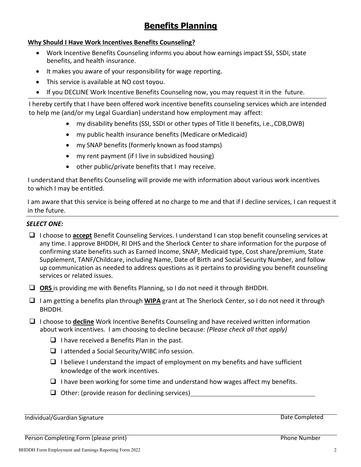# **Benefits Planning**

### **Why Should I Have Work Incentives Benefits Counseling?**

- Work Incentive Benefits Counseling informs you about how earnings impact SSI, SSDI, state benefits, and health insurance.
- It makes you aware of your responsibility for wage reporting.
- This service is available at NO cost toyou.
- If you DECLINE Work Incentive Benefits Counseling now, you may request it in the future.

I hereby certify that I have been offered work incentive benefits counseling services which are intended to help me (and/or my Legal Guardian) understand how employment may affect:

- my disability benefits (SSI, SSDI or other types of Title II benefits, i.e.,CDB,DWB)
- my public health insurance benefits (Medicare or Medicaid)
- my SNAP benefits (formerly known as food stamps)
- my rent payment (if I live in subsidized housing)
- other public/private benefits that I may receive.

I understand that Benefits Counseling will provide me with information about various work incentives to which I may be entitled.

I am aware that this service is being offered at no charge to me and that if I decline services, I can request it in the future.

#### *SELECT ONE:*

- I choose to **accept** Benefit Counseling Services. I understand I can stop benefit counseling services at any time. I approve BHDDH, RI DHS and the Sherlock Center to share information for the purpose of confirming state benefits such as Earned Income, SNAP, Medicaid type, Cost share/premium, State Supplement, TANF/Childcare, including Name, Date of Birth and Social Security Number, and follow up communication as needed to address questions as it pertains to providing you benefit counseling services or related issues.
- **ORS** is providing me with Benefits Planning, so I do not need it through BHDDH.
- I am getting a benefits plan through **WIPA** grant at The Sherlock Center, so I do not need it through BHDDH.
- I choose to **decline** Work Incentive Benefits Counseling and have received written information about work incentives. I am choosing to decline because: *(Please check all that apply)*
	- $\Box$  I have received a Benefits Plan in the past.
	- $\Box$  I attended a Social Security/WIBC info session.
	- $\Box$  I believe I understand the impact of employment on my benefits and have sufficient knowledge of the work incentives.
	- $\Box$  I have been working for some time and understand how wages affect my benefits.
	- $\Box$  Other: (provide reason for declining services)

Individual/Guardian Signature Date Completed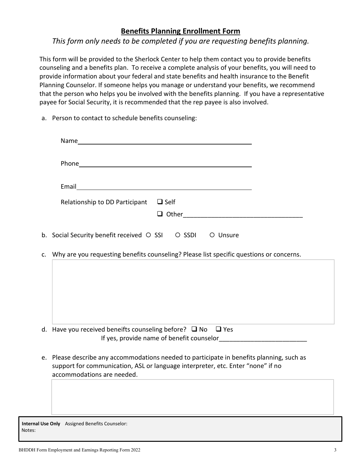## **Benefits Planning Enrollment Form**

## *This form only needs to be completed if you are requesting benefits planning.*

This form will be provided to the Sherlock Center to help them contact you to provide benefits counseling and a benefits plan. To receive a complete analysis of your benefits, you will need to provide information about your federal and state benefits and health insurance to the Benefit Planning Counselor. If someone helps you manage or understand your benefits, we recommend that the person who helps you be involved with the benefits planning. If you have a representative payee for Social Security, it is recommended that the rep payee is also involved.

a. Person to contact to schedule benefits counseling:

|    | Relationship to DD Participant $\Box$ Self                                                                                                                                                                 |
|----|------------------------------------------------------------------------------------------------------------------------------------------------------------------------------------------------------------|
|    |                                                                                                                                                                                                            |
|    | b. Social Security benefit received O SSI O SSDI O Unsure                                                                                                                                                  |
| C. | Why are you requesting benefits counseling? Please list specific questions or concerns.                                                                                                                    |
|    |                                                                                                                                                                                                            |
|    |                                                                                                                                                                                                            |
|    | d. Have you received beneifts counseling before? $\Box$ No $\Box$ Yes<br>If yes, provide name of benefit counselor                                                                                         |
|    | e. Please describe any accommodations needed to participate in benefits planning, such as<br>support for communication, ASL or language interpreter, etc. Enter "none" if no<br>accommodations are needed. |
|    |                                                                                                                                                                                                            |

Notes: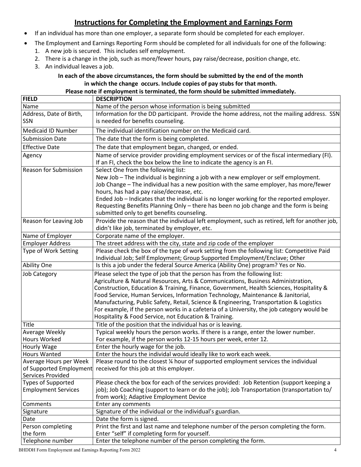## **Instructions for Completing the Employment and Earnings Form**

- If an individual has more than one employer, a separate form should be completed for each employer.
- The Employment and Earnings Reporting Form should be completed for all individuals for one of the following:
	- 1. A new job is secured. This includes self employment.
	- 2. There is a change in the job, such as more/fewer hours, pay raise/decrease, position change, etc.
	- 3. An individual leaves a job.

#### **In each of the above circumstances, the form should be submitted by the end of the month in which the change occurs. Include copies of pay stubs for that month. Please note if employment is terminated, the form should be submitted immediately.**

| <b>FIELD</b>                                 | <b>DESCRIPTION</b>                                                                                                                                                                                                                                                                                                                                                                                                                                                                                                                                                                             |
|----------------------------------------------|------------------------------------------------------------------------------------------------------------------------------------------------------------------------------------------------------------------------------------------------------------------------------------------------------------------------------------------------------------------------------------------------------------------------------------------------------------------------------------------------------------------------------------------------------------------------------------------------|
| Name                                         | Name of the person whose information is being submitted                                                                                                                                                                                                                                                                                                                                                                                                                                                                                                                                        |
| Address, Date of Birth,                      | Information for the DD participant. Provide the home address, not the mailing address. SSN                                                                                                                                                                                                                                                                                                                                                                                                                                                                                                     |
| <b>SSN</b>                                   | is needed for benefits counseling.                                                                                                                                                                                                                                                                                                                                                                                                                                                                                                                                                             |
| Medicaid ID Number                           | The individual identification number on the Medicaid card.                                                                                                                                                                                                                                                                                                                                                                                                                                                                                                                                     |
| <b>Submission Date</b>                       | The date that the form is being completed.                                                                                                                                                                                                                                                                                                                                                                                                                                                                                                                                                     |
| <b>Effective Date</b>                        | The date that employment began, changed, or ended.                                                                                                                                                                                                                                                                                                                                                                                                                                                                                                                                             |
| Agency                                       | Name of service provider providing employment services or of the fiscal intermediary (FI).<br>If an FI, check the box below the line to indicate the agency is an FI.                                                                                                                                                                                                                                                                                                                                                                                                                          |
| Reason for Submission                        | Select One from the following list:<br>New Job - The individual is beginning a job with a new employer or self employment.<br>Job Change - The individual has a new position with the same employer, has more/fewer<br>hours, has had a pay raise/decrease, etc.<br>Ended Job - Indicates that the individual is no longer working for the reported employer.<br>Requesting Benefits Planning Only - there has been no job change and the form is being<br>submitted only to get benefits counseling.                                                                                          |
| Reason for Leaving Job                       | Provide the reason that the individual left employment, such as retired, left for another job,<br>didn't like job, terminated by employer, etc.                                                                                                                                                                                                                                                                                                                                                                                                                                                |
| Name of Employer                             | Corporate name of the employer.                                                                                                                                                                                                                                                                                                                                                                                                                                                                                                                                                                |
| <b>Employer Address</b>                      | The street address with the city, state and zip code of the employer                                                                                                                                                                                                                                                                                                                                                                                                                                                                                                                           |
| Type of Work Setting                         | Please check the box of the type of work setting from the following list: Competitive Paid<br>Individual Job; Self Employment; Group Supported Employment/Enclave; Other                                                                                                                                                                                                                                                                                                                                                                                                                       |
| <b>Ability One</b>                           | Is this a job under the federal Source America (Ability One) program? Yes or No.                                                                                                                                                                                                                                                                                                                                                                                                                                                                                                               |
| Job Category                                 | Please select the type of job that the person has from the following list:<br>Agriculture & Natural Resources, Arts & Communications, Business Administration,<br>Construction, Education & Training, Finance, Government, Health Sciences, Hospitality &<br>Food Service, Human Services, Information Technology, Maintenance & Janitorial,<br>Manufacturing, Public Safety, Retail, Science & Engineering, Transportation & Logistics<br>For example, if the person works in a cafeteria of a University, the job category would be<br>Hospitality & Food Service, not Education & Training. |
| Title                                        | Title of the position that the individual has or is leaving.                                                                                                                                                                                                                                                                                                                                                                                                                                                                                                                                   |
| Average Weekly                               | Typical weekly hours the person works. If there is a range, enter the lower number.                                                                                                                                                                                                                                                                                                                                                                                                                                                                                                            |
| <b>Hours Worked</b>                          | For example, if the person works 12-15 hours per week, enter 12.                                                                                                                                                                                                                                                                                                                                                                                                                                                                                                                               |
| Hourly Wage                                  | Enter the hourly wage for the job.                                                                                                                                                                                                                                                                                                                                                                                                                                                                                                                                                             |
| <b>Hours Wanted</b>                          | Enter the hours the individal would ideally like to work each week.                                                                                                                                                                                                                                                                                                                                                                                                                                                                                                                            |
| Average Hours per Week                       | Please round to the closest % hour of supported employment services the individual                                                                                                                                                                                                                                                                                                                                                                                                                                                                                                             |
| of Supported Employment<br>Services Provided | received for this job at this employer.                                                                                                                                                                                                                                                                                                                                                                                                                                                                                                                                                        |
| <b>Types of Supported</b>                    | Please check the box for each of the services provided: Job Retention (support keeping a                                                                                                                                                                                                                                                                                                                                                                                                                                                                                                       |
| <b>Employment Services</b>                   | job); Job Coaching (support to learn or do the job); Job Transportation (transportation to/                                                                                                                                                                                                                                                                                                                                                                                                                                                                                                    |
|                                              | from work); Adaptive Employment Device                                                                                                                                                                                                                                                                                                                                                                                                                                                                                                                                                         |
| Comments                                     | Enter any comments                                                                                                                                                                                                                                                                                                                                                                                                                                                                                                                                                                             |
| Signature                                    | Signature of the individual or the individual's guardian.                                                                                                                                                                                                                                                                                                                                                                                                                                                                                                                                      |
| Date                                         | Date the form is signed.                                                                                                                                                                                                                                                                                                                                                                                                                                                                                                                                                                       |
| Person completing                            | Print the first and last name and telephone number of the person completing the form.                                                                                                                                                                                                                                                                                                                                                                                                                                                                                                          |
| the form                                     | Enter "self" if completing form for yourself.                                                                                                                                                                                                                                                                                                                                                                                                                                                                                                                                                  |
| Telephone number                             | Enter the telephone number of the person completing the form.                                                                                                                                                                                                                                                                                                                                                                                                                                                                                                                                  |